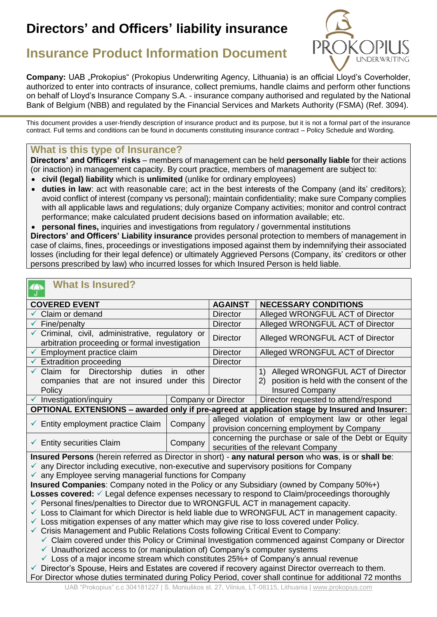# **Directors' and Officers' liability insurance**



## **Insurance Product Information Document**

**Company:** UAB "Prokopius" (Prokopius Underwriting Agency, Lithuania) is an official Lloyd's Coverholder, authorized to enter into contracts of insurance, collect premiums, handle claims and perform other functions on behalf of Lloyd's Insurance Company S.A. - insurance company authorised and regulated by the National Bank of Belgium (NBB) and regulated by the Financial Services and Markets Authority (FSMA) (Ref. 3094).

This document provides a user-friendly description of insurance product and its purpose, but it is not a formal part of the insurance contract. Full terms and conditions can be found in documents constituting insurance contract – Policy Schedule and Wording.

### **What is this type of Insurance?**

**Directors' and Officers' risks** – members of management can be held **personally liable** for their actions (or inaction) in management capacity. By court practice, members of management are subject to:

- **civil (legal) liability** which is **unlimited** (unlike for ordinary employees)
- **duties in law**: act with reasonable care; act in the best interests of the Company (and its' creditors); avoid conflict of interest (company vs personal); maintain confidentiality; make sure Company complies with all applicable laws and regulations; duly organize Company activities; monitor and control contract performance; make calculated prudent decisions based on information available; etc.

• **personal fines,** inquiries and investigations from regulatory / governmental institutions **Directors' and Officers' Liability insurance** provides personal protection to members of management in case of claims, fines, proceedings or investigations imposed against them by indemnifying their associated losses (including for their legal defence) or ultimately Aggrieved Persons (Company, its' creditors or other persons prescribed by law) who incurred losses for which Insured Person is held liable.

## **What Is Insured?**

| <b>COVERED EVENT</b>                                                                                     |         | <b>AGAINST</b>                                                                              | <b>NECESSARY CONDITIONS</b>                     |
|----------------------------------------------------------------------------------------------------------|---------|---------------------------------------------------------------------------------------------|-------------------------------------------------|
| Claim or demand                                                                                          |         | <b>Director</b>                                                                             | Alleged WRONGFUL ACT of Director                |
| $\checkmark$ Fine/penalty                                                                                |         | <b>Director</b>                                                                             | Alleged WRONGFUL ACT of Director                |
| Criminal, civil, administrative, regulatory or<br>arbitration proceeding or formal investigation         |         | <b>Director</b>                                                                             | Alleged WRONGFUL ACT of Director                |
| Employment practice claim                                                                                |         | <b>Director</b>                                                                             | Alleged WRONGFUL ACT of Director                |
| $\checkmark$ Extradition proceeding                                                                      |         | <b>Director</b>                                                                             |                                                 |
| Directorship<br>Claim for<br>duties<br>other<br>in.                                                      |         |                                                                                             | 1) Alleged WRONGFUL ACT of Director             |
| companies that are not insured under this                                                                |         | <b>Director</b>                                                                             | position is held with the consent of the<br>(2) |
| Policy                                                                                                   |         |                                                                                             | <b>Insured Company</b>                          |
| $\checkmark$ Investigation/inquiry                                                                       |         | Company or Director                                                                         | Director requested to attend/respond            |
| OPTIONAL EXTENSIONS - awarded only if pre-agreed at application stage by Insured and Insurer:            |         |                                                                                             |                                                 |
| $\checkmark$ Entity employment practice Claim                                                            | Company | alleged violation of employment law or other legal                                          |                                                 |
|                                                                                                          |         | provision concerning employment by Company                                                  |                                                 |
| Company<br><b>Entity securities Claim</b><br>✓                                                           |         | concerning the purchase or sale of the Debt or Equity<br>securities of the relevant Company |                                                 |
| Insured Persons (herein referred as Director in short) - any natural person who was, is or shall be:     |         |                                                                                             |                                                 |
| $\checkmark$ any Director including executive, non-executive and supervisory positions for Company       |         |                                                                                             |                                                 |
| $\checkmark$ any Employee serving managerial functions for Company                                       |         |                                                                                             |                                                 |
| Insured Companies: Company noted in the Policy or any Subsidiary (owned by Company 50%+)                 |         |                                                                                             |                                                 |
| Losses covered: √ Legal defence expenses necessary to respond to Claim/proceedings thoroughly            |         |                                                                                             |                                                 |
| ← Personal fines/penalties to Director due to WRONGFUL ACT in management capacity.                       |         |                                                                                             |                                                 |
| └ Loss to Claimant for which Director is held liable due to WRONGFUL ACT in management capacity.         |         |                                                                                             |                                                 |
| $\checkmark$ Loss mitigation expenses of any matter which may give rise to loss covered under Policy.    |         |                                                                                             |                                                 |
| $\checkmark$ Crisis Management and Public Relations Costs following Critical Event to Company:           |         |                                                                                             |                                                 |
| ✓ Claim covered under this Policy or Criminal Investigation commenced against Company or Director        |         |                                                                                             |                                                 |
| $\checkmark$ Unauthorized access to (or manipulation of) Company's computer systems                      |         |                                                                                             |                                                 |
| $\checkmark$ Loss of a major income stream which constitutes 25%+ of Company's annual revenue            |         |                                                                                             |                                                 |
| Director's Spouse, Heirs and Estates are covered if recovery against Director overreach to them.         |         |                                                                                             |                                                 |
| For Director whose duties terminated during Policy Period, cover shall continue for additional 72 months |         |                                                                                             |                                                 |